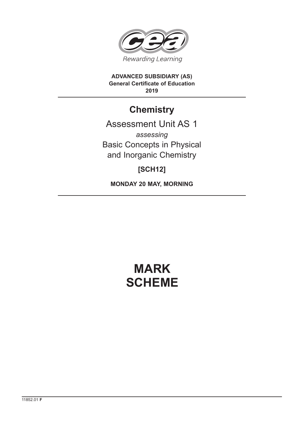

**ADVANCED SUBSIDIARY (AS) General Certificate of Education 2019**

## **Chemistry**

## Assessment Unit AS 1 *assessing* Basic Concepts in Physical and Inorganic Chemistry

### **[SCH12]**

**MONDAY 20 MAY, MORNING**

# **MARK SCHEME**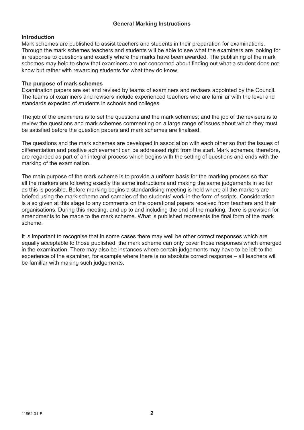#### **General Marking Instructions**

#### **Introduction**

Mark schemes are published to assist teachers and students in their preparation for examinations. Through the mark schemes teachers and students will be able to see what the examiners are looking for in response to questions and exactly where the marks have been awarded. The publishing of the mark schemes may help to show that examiners are not concerned about finding out what a student does not know but rather with rewarding students for what they do know.

#### **The purpose of mark schemes**

Examination papers are set and revised by teams of examiners and revisers appointed by the Council. The teams of examiners and revisers include experienced teachers who are familiar with the level and standards expected of students in schools and colleges.

The job of the examiners is to set the questions and the mark schemes; and the job of the revisers is to review the questions and mark schemes commenting on a large range of issues about which they must be satisfied before the question papers and mark schemes are finalised.

The questions and the mark schemes are developed in association with each other so that the issues of differentiation and positive achievement can be addressed right from the start. Mark schemes, therefore, are regarded as part of an integral process which begins with the setting of questions and ends with the marking of the examination.

The main purpose of the mark scheme is to provide a uniform basis for the marking process so that all the markers are following exactly the same instructions and making the same judgements in so far as this is possible. Before marking begins a standardising meeting is held where all the markers are briefed using the mark scheme and samples of the students' work in the form of scripts. Consideration is also given at this stage to any comments on the operational papers received from teachers and their organisations. During this meeting, and up to and including the end of the marking, there is provision for amendments to be made to the mark scheme. What is published represents the final form of the mark scheme.

It is important to recognise that in some cases there may well be other correct responses which are equally acceptable to those published: the mark scheme can only cover those responses which emerged in the examination. There may also be instances where certain judgements may have to be left to the experience of the examiner, for example where there is no absolute correct response – all teachers will be familiar with making such judgements.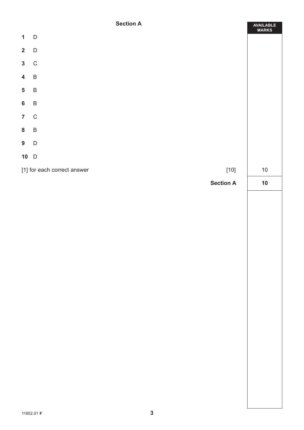#### **Section A**

Ë

|                         | <b>SECTION H</b>                      | AVAILABLE<br>MARKS |  |  |
|-------------------------|---------------------------------------|--------------------|--|--|
| $\mathbf{1}$            | $\mathsf{D}$                          |                    |  |  |
| $\mathbf{2}$            | $\mathsf D$                           |                    |  |  |
| $\mathbf{3}$            | $\mathsf C$                           |                    |  |  |
| $\overline{\mathbf{4}}$ | $\overline{B}$                        |                    |  |  |
| $\overline{\mathbf{5}}$ | $\sf B$                               |                    |  |  |
| $\bf 6$                 | $\sf B$                               |                    |  |  |
| $\overline{7}$          | $\mathsf C$                           |                    |  |  |
| ${\bf 8}$               | $\sf B$                               |                    |  |  |
| 9                       | $\mathsf D$                           |                    |  |  |
|                         | $10$ D                                |                    |  |  |
|                         | $[10]$<br>[1] for each correct answer |                    |  |  |
|                         | <b>Section A</b>                      | $10$               |  |  |
|                         |                                       |                    |  |  |
|                         |                                       |                    |  |  |
|                         |                                       |                    |  |  |
|                         |                                       |                    |  |  |
|                         |                                       |                    |  |  |
|                         |                                       |                    |  |  |
|                         |                                       |                    |  |  |
|                         |                                       |                    |  |  |
|                         |                                       |                    |  |  |
|                         |                                       |                    |  |  |
|                         |                                       |                    |  |  |
|                         |                                       |                    |  |  |
|                         |                                       |                    |  |  |
|                         |                                       |                    |  |  |
|                         |                                       |                    |  |  |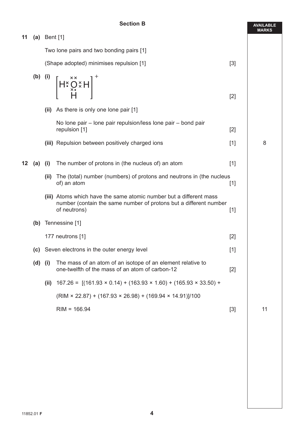#### **Section B**

|    |                    |                                                                                     | <b>Section B</b>                                                                                                                                                                                                                                                                                                                                                                                                                                                                         |       | <b>AVAILABLE</b><br><b>MARKS</b> |
|----|--------------------|-------------------------------------------------------------------------------------|------------------------------------------------------------------------------------------------------------------------------------------------------------------------------------------------------------------------------------------------------------------------------------------------------------------------------------------------------------------------------------------------------------------------------------------------------------------------------------------|-------|----------------------------------|
| 11 |                    | (a) Bent $[1]$                                                                      |                                                                                                                                                                                                                                                                                                                                                                                                                                                                                          |       |                                  |
|    |                    | Two lone pairs and two bonding pairs [1]<br>(Shape adopted) minimises repulsion [1] |                                                                                                                                                                                                                                                                                                                                                                                                                                                                                          |       |                                  |
|    |                    |                                                                                     |                                                                                                                                                                                                                                                                                                                                                                                                                                                                                          | $[3]$ |                                  |
|    | $(b)$ (i)          |                                                                                     | $\left[\mathsf{H} \left(\mathsf{H} \left(\mathsf{H} \left(\mathsf{H} \left(\mathsf{H} \left(\mathsf{H} \left(\mathsf{H} \left(\mathsf{H} \left(\mathsf{H} \left(\mathsf{H} \left(\mathsf{H} \left(\mathsf{H} \left(\mathsf{H} \left(\mathsf{H} \left(\mathsf{H} \left(\mathsf{H} \left(\mathsf{H} \left(\mathsf{H} \left(\mathsf{H} \left(\mathsf{H} \left(\mathsf{H} \left(\mathsf{H} \left(\mathsf{H} \left(\mathsf{H} \left(\mathsf{H} \left(\mathsf{H} \left(\mathsf{H} \left(\math$ | $[2]$ |                                  |
|    |                    |                                                                                     | (ii) As there is only one lone pair [1]                                                                                                                                                                                                                                                                                                                                                                                                                                                  |       |                                  |
|    |                    |                                                                                     | No lone pair – lone pair repulsion/less lone pair – bond pair<br>repulsion [1]                                                                                                                                                                                                                                                                                                                                                                                                           | $[2]$ |                                  |
|    |                    |                                                                                     | (iii) Repulsion between positively charged ions                                                                                                                                                                                                                                                                                                                                                                                                                                          | $[1]$ | 8                                |
| 12 | (a)                | (i)                                                                                 | The number of protons in (the nucleus of) an atom                                                                                                                                                                                                                                                                                                                                                                                                                                        | $[1]$ |                                  |
|    |                    | (ii)                                                                                | The (total) number (numbers) of protons and neutrons in (the nucleus<br>of) an atom                                                                                                                                                                                                                                                                                                                                                                                                      | $[1]$ |                                  |
|    |                    |                                                                                     | (iii) Atoms which have the same atomic number but a different mass<br>number (contain the same number of protons but a different number<br>of neutrons)                                                                                                                                                                                                                                                                                                                                  | $[1]$ |                                  |
|    | (b) Tennessine [1] |                                                                                     |                                                                                                                                                                                                                                                                                                                                                                                                                                                                                          |       |                                  |
|    |                    | 177 neutrons [1]                                                                    |                                                                                                                                                                                                                                                                                                                                                                                                                                                                                          | $[2]$ |                                  |
|    |                    |                                                                                     | (c) Seven electrons in the outer energy level                                                                                                                                                                                                                                                                                                                                                                                                                                            | $[1]$ |                                  |
|    | $(d)$ (i)          |                                                                                     | The mass of an atom of an isotope of an element relative to<br>one-twelfth of the mass of an atom of carbon-12                                                                                                                                                                                                                                                                                                                                                                           | $[2]$ |                                  |
|    |                    | (ii)                                                                                | $167.26 = [(161.93 \times 0.14) + (163.93 \times 1.60) + (165.93 \times 33.50) +$                                                                                                                                                                                                                                                                                                                                                                                                        |       |                                  |
|    |                    |                                                                                     | $(RIM \times 22.87) + (167.93 \times 26.98) + (169.94 \times 14.91)/100$                                                                                                                                                                                                                                                                                                                                                                                                                 |       |                                  |
|    |                    |                                                                                     | $RIM = 166.94$                                                                                                                                                                                                                                                                                                                                                                                                                                                                           | $[3]$ | 11                               |
|    |                    |                                                                                     |                                                                                                                                                                                                                                                                                                                                                                                                                                                                                          |       |                                  |
|    |                    |                                                                                     |                                                                                                                                                                                                                                                                                                                                                                                                                                                                                          |       |                                  |
|    |                    |                                                                                     |                                                                                                                                                                                                                                                                                                                                                                                                                                                                                          |       |                                  |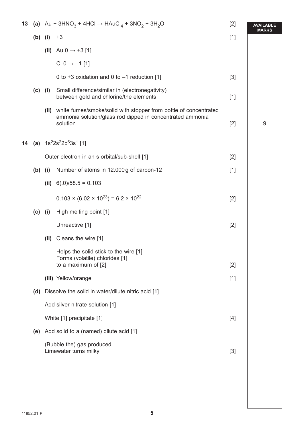| 13 |           | (a) Au + 3HNO <sub>3</sub> + 4HCl $\rightarrow$ HAuCl <sub>4</sub> + 3NO <sub>2</sub> + 3H <sub>2</sub> O<br>$[2]$ |                                                                                                                                                | <b>AVAILABLE</b><br><b>MARKS</b> |   |
|----|-----------|--------------------------------------------------------------------------------------------------------------------|------------------------------------------------------------------------------------------------------------------------------------------------|----------------------------------|---|
|    | $(b)$ (i) |                                                                                                                    | $+3$                                                                                                                                           | $[1]$                            |   |
|    |           |                                                                                                                    | (ii) Au 0 $\rightarrow$ +3 [1]                                                                                                                 |                                  |   |
|    |           |                                                                                                                    | CI 0 $\rightarrow$ -1 [1]                                                                                                                      |                                  |   |
|    |           |                                                                                                                    | 0 to +3 oxidation and 0 to $-1$ reduction [1]                                                                                                  | $[3]$                            |   |
|    | $(c)$ (i) |                                                                                                                    | Small difference/similar in (electronegativity)<br>between gold and chlorine/the elements                                                      | $[1]$                            |   |
|    |           |                                                                                                                    | (ii) white fumes/smoke/solid with stopper from bottle of concentrated<br>ammonia solution/glass rod dipped in concentrated ammonia<br>solution | $[2]$                            | 9 |
| 14 |           |                                                                                                                    | (a) $1s^22s^22p^63s^1$ [1]                                                                                                                     |                                  |   |
|    |           |                                                                                                                    | Outer electron in an s orbital/sub-shell [1]                                                                                                   | $[2]$                            |   |
|    | $(b)$ (i) |                                                                                                                    | Number of atoms in 12.000g of carbon-12                                                                                                        | $[1]$                            |   |
|    |           | (ii)                                                                                                               | $6(.0)/58.5 = 0.103$                                                                                                                           |                                  |   |
|    |           |                                                                                                                    | $0.103 \times (6.02 \times 10^{23}) = 6.2 \times 10^{22}$                                                                                      | $[2]$                            |   |
|    | (c)       | (i)                                                                                                                | High melting point [1]                                                                                                                         |                                  |   |
|    |           |                                                                                                                    | Unreactive [1]                                                                                                                                 | $[2]$                            |   |
|    |           |                                                                                                                    | (ii) Cleans the wire [1]                                                                                                                       |                                  |   |
|    |           |                                                                                                                    | Helps the solid stick to the wire [1]<br>Forms (volatile) chlorides [1]<br>to a maximum of [2]                                                 | $[2]$                            |   |
|    |           |                                                                                                                    | (iii) Yellow/orange                                                                                                                            | $[1]$                            |   |
|    | (d)       |                                                                                                                    | Dissolve the solid in water/dilute nitric acid [1]                                                                                             |                                  |   |
|    |           |                                                                                                                    | Add silver nitrate solution [1]                                                                                                                |                                  |   |
|    |           |                                                                                                                    | White [1] precipitate [1]                                                                                                                      | $[4]$                            |   |
|    | (e)       | Add solid to a (named) dilute acid [1]                                                                             |                                                                                                                                                |                                  |   |
|    |           |                                                                                                                    | (Bubble the) gas produced<br>Limewater turns milky                                                                                             | $[3]$                            |   |
|    |           |                                                                                                                    |                                                                                                                                                |                                  |   |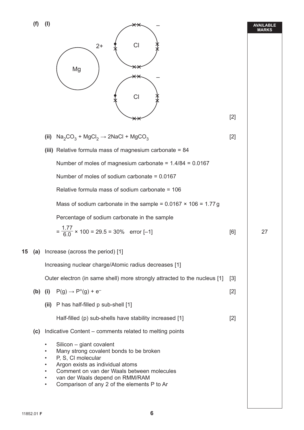